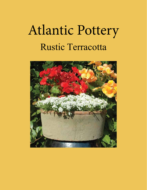# Atlantic Pottery Rustic Terracotta

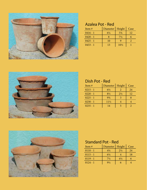

#### Azalea Pot - Red

| Item $#$   | Diameter       | Height          | Case |
|------------|----------------|-----------------|------|
| $0416 - 1$ | $6\frac{1}{4}$ | $5\frac{3}{4}$  | 12.  |
| $0420 - 1$ |                | $7\frac{1}{2}$  |      |
| $0425 - 1$ | 10             |                 |      |
| $0433 - 1$ | 13             | $10\frac{1}{2}$ |      |



#### Dish Pot - Red

| Item $#$   | Diameter   Height |                | Case |
|------------|-------------------|----------------|------|
| $0215 - 1$ | $6\frac{1}{2}$    |                | 24   |
| $0220 - 1$ | $8\frac{1}{2}$    | $2\frac{1}{2}$ | 12.  |
| $0225 - 1$ | $9\frac{3}{4}$    |                |      |
| $0230 - 1$ | $11\frac{1}{2}$   |                |      |
| $0235 - 1$ | 14                |                |      |



#### Standard Pot - Red

| Item $#$   | Diameter       | Height         | Case |
|------------|----------------|----------------|------|
| $0110 - 1$ | $4\frac{1}{4}$ | $2\frac{1}{2}$ | 24   |
| $0115 - 1$ | $6\frac{1}{4}$ |                | 18   |
| $0119 - 1$ | $7\frac{1}{2}$ | $4\frac{1}{2}$ |      |
| $0124 - 1$ | $9\frac{1}{2}$ |                |      |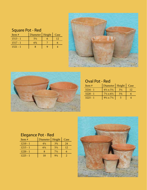## Square Pot - Red

| Item $#$   | Diameter   Height   Case |  |
|------------|--------------------------|--|
| $1513 - 1$ | $5\frac{1}{2}$           |  |
| $1517 - 1$ | 63⁄4                     |  |
| $1521 - 1$ |                          |  |





#### Oval Pot - Red

| Item $#$   | Diameter   Height                  |                | Case |
|------------|------------------------------------|----------------|------|
| $3216 - 1$ | $6\frac{1}{2} \times 5\frac{1}{4}$ | $3\frac{1}{4}$ |      |
| $3220 - 1$ | $7\frac{1}{2} \times 6\frac{1}{2}$ | $3\frac{3}{4}$ |      |
| $3225 - 1$ | $9\frac{1}{2} \times 7\frac{1}{2}$ |                |      |

## Elegance Pot - Red

| Item #     | Diameter       | Height         | Case |
|------------|----------------|----------------|------|
| $1210 - 1$ | $4\frac{1}{4}$ | $3\frac{3}{4}$ | 24   |
| $1215 - 1$ | $6\frac{1}{4}$ | $5\frac{1}{2}$ | 12   |
| $1220 - 1$ |                | $7\frac{1}{2}$ |      |
| $1225 - 1$ | 10             | $9\frac{1}{4}$ |      |

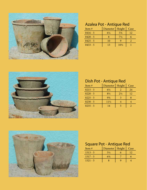

## Azalea Pot - Antique Red

| Item $#$   | Diameter       | Height          | Case |
|------------|----------------|-----------------|------|
| $0416 - 5$ | $6\frac{1}{4}$ | $5\frac{3}{4}$  | 12.  |
| $0420 - 5$ |                | $7\frac{1}{2}$  |      |
| $0425 - 5$ | 10             |                 |      |
| $0433 - 5$ | 13             | $10\frac{1}{2}$ |      |



#### Dish Pot - Antique Red

| Item $#$   | Diameter        | Height         | Case |
|------------|-----------------|----------------|------|
| $0215 - 5$ | $6\frac{1}{2}$  |                | 24   |
| $0220 - 5$ | $8\frac{1}{2}$  | $2\frac{1}{2}$ | 12   |
| $0225 - 5$ | $9\frac{3}{4}$  |                |      |
| $0230 - 5$ | $11\frac{1}{2}$ |                |      |
| $0235 - 5$ | 14              |                |      |



#### Square Pot - Antique Red

| Item $#$   | Diameter   Height | Case |
|------------|-------------------|------|
| $1513 - 5$ | $5\frac{1}{2}$    |      |
| $1517 - 5$ | $6\frac{3}{4}$    |      |
| $1521 - 5$ |                   |      |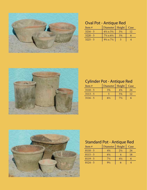

## Oval Pot - Antique Red

| Item $#$   | Diameter   Height                  |                | Case |
|------------|------------------------------------|----------------|------|
| $3216 - 5$ | $6\frac{1}{2} \times 5\frac{1}{4}$ | $3\frac{1}{4}$ |      |
| $3220 - 5$ | $7\frac{1}{2} \times 6\frac{1}{2}$ | $3\frac{3}{4}$ |      |
| $3225 - 5$ | $9\frac{1}{2}$ x $7\frac{1}{2}$    |                |      |



#### Cylinder Pot - Antique Red

| Item#      | Diameter   Height |                | Case |
|------------|-------------------|----------------|------|
| $3110 - 5$ | $3\frac{3}{4}$    | $4\frac{3}{4}$ | 24   |
| $3113 - 5$ |                   | $5\frac{3}{4}$ |      |
| $3116 - 5$ | 6½                | $7\frac{1}{2}$ |      |



#### Standard Pot - Antique Red

| Item $#$   | Diameter       | Height         | Case |
|------------|----------------|----------------|------|
| $0110 - 5$ | $4\frac{1}{4}$ | $2\frac{1}{2}$ | 24   |
| $0115 - 5$ | $6\frac{1}{4}$ |                | 18   |
| $0119 - 5$ | $7\frac{1}{2}$ | $4\frac{1}{2}$ |      |
| $0124 - 5$ | $9\frac{1}{2}$ |                |      |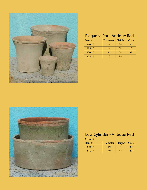

## Elegance Pot - Antique Red

| Item $#$   | Diameter       | Height         | Case |
|------------|----------------|----------------|------|
| $1210 - 5$ | $4\frac{1}{4}$ | $3\frac{3}{4}$ | 24   |
| $1215 - 5$ | $6\frac{1}{4}$ | $5\frac{1}{2}$ | 12.  |
| $1220 - 5$ |                | $7\frac{1}{2}$ |      |
| $1225 - 5$ | 10             | $9\frac{1}{4}$ |      |



#### Low Cylinder - Antique Red

Set of 2

| Item $#$   | Diameter   Height   Case |       |
|------------|--------------------------|-------|
| $1330 - 5$ | $11\frac{1}{2}$          | 1 Set |
| $1335 - 5$ | 13½                      | 1 Set |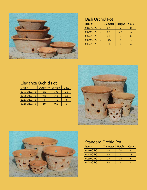

## Dish Orchid Pot

| Item $#$     | Diameter        | Height         | Case |
|--------------|-----------------|----------------|------|
| 0215 ORC - 1 | $6\frac{1}{2}$  |                | 24   |
| 0220 ORC - 1 | $8\frac{1}{2}$  | $2\frac{1}{2}$ | 12   |
| 0225 ORC - 1 | $9\frac{3}{4}$  |                |      |
| 0230 ORC - 1 | $11\frac{1}{2}$ |                |      |
| 0235 ORC - 1 | 14              |                |      |



| Item $#$     | Diameter       | Height         | Case |
|--------------|----------------|----------------|------|
| 1210 ORC - 1 | $4\frac{1}{4}$ | $3\frac{3}{4}$ | 24   |
| 1215 ORC - 1 | 6¼             | $5\frac{1}{2}$ | 12.  |
| 1220 ORC - 1 |                | $7\frac{1}{2}$ |      |
| 1225 ORC - 1 | 10             | $9\frac{1}{4}$ |      |





#### Standard Orchid Pot

| Item #       | Diameter       | Height         | Case |
|--------------|----------------|----------------|------|
| 0110 ORC - 1 | $4\frac{1}{4}$ | $2\frac{1}{2}$ | 24   |
| 0115 ORC - 1 | $6\frac{1}{4}$ |                | 18   |
| 0119 ORC - 1 | $7\frac{1}{2}$ | $4\frac{1}{2}$ |      |
| 0124 ORC - 1 | $9\frac{1}{2}$ |                |      |